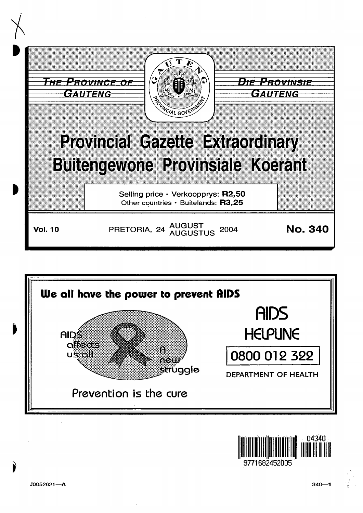



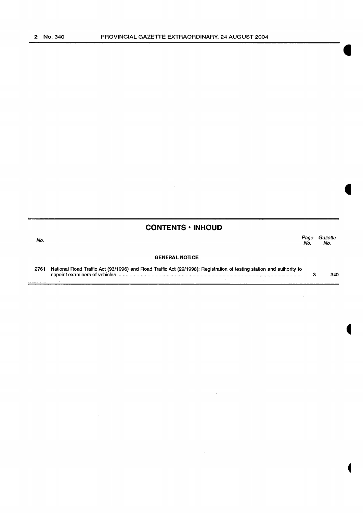# **CONTENTS • INHOUD**

No. Page Gazette No. No.

#### **GENERAL NOTICE**

2761 National Road Traffic Act (93/1996) and Road Traffic Act (29/1998): Registration of testing station and authority to appoint examiners of vehicles ...................................................................................................................................... . 3 340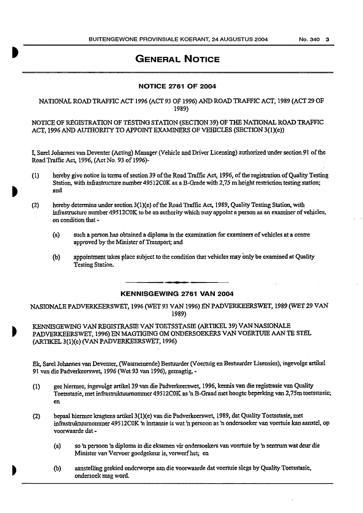# **GENERAL NOTICE**

# **NOTICE 2761 OF 2004**

## NATIONAL ROAD TRAFFIC ACf 1996 (ACT 93 OF 1996) AND ROAD TRAFFIC ACT, 1989 (ACf 29 OF 1989)

NOTICE OF REGISTRATION OF TESTING STATION (SECTION 39) OF THE NATIONAL ROAD TRAFFIC ACT, 1996 AND AUTHORITY TO APPOINT EXAMINERS OF VEHICLES (SECTION 3(1)(e))

I, Saxel Johannes van Deventer (Acting) Manager {Vehicle and Driver Licensing) authorized under section 91 ofthe Road Traffic Act, 1996, (Act No. 93 of 1996)-

- (1) hereby give notice in terms of section 39 of the Road Traffic Act, 1996, of the registration of Quality Testing Station, with infrastructure number 49512COK as a B-Grade with 2,75 m height restriction testing station; and
- (2) hereby determine under section  $3(1)(e)$  of the Road Traffic Act, 1989, Quality Testing Station, with infrastructure number 495 12COK to be an authority which may appoint a person as an examiner of vehicles, on condition that -
	- (a) such a person has obtained a diploma in the examination for examiners of vehicles at a centre approved by the Minister of Transport; and
	- (b) appointment takes place subject to the condition that vehicles may only be examined at Quality Testing Station.

## **KENNISGEWING 2761 VAN 2004**

NASIONALE PADVERKEERSWET, 1996 (WET 93 VAN 1996) EN PADVERKEERSWET, 1989 (WET 29 VAN 1989)

KENNISGEWING VAN REGISTRASIE VAN TOETSSTASIE (ARTIKEL 39) VANNAS!ONALE PADVERKEERSWET, 1996) EN MAGTIGING OM ONDERSOEKERS VAN VOERTUIE AAN TE STEL (.ARTIKEL3(l)(e) (VAN PADVERKEERSWET, 1996)

Ek. Sarel Johannes van Deventer, (Waamemende) Bestuurder (Voerruig en Bestuurder Lisensies), ingevolge artikel 91 van die Padverkeerswet, 1996 (Wet 93 van 1996), gemagtig,-

- (1) gee hiermee, ingevolge anikel 39 van die Padverkeerswet, 1996, kermis van die registrasie van Quality Toetsstasie, met infrastruktuurnommer 49512COK as 'n B-Graad met hoogte beperking van 2, *15m* toetsstasie; en
- (2) bepaal hiermee kragtens artikel3(l)(e) van die Padverkeerswet, 1989. dat Quality Toetsstasie, met infrastruktutunommer 49512COK 'n instansie is wat 'n persoon as 'n ondersoeker van voertuie kan aanstel, op voorwaarde dat -
	- (a) so 'n persoon 'n diploma in die eksamen vir ondersoekers van voertuie by 'n sentrum wat deur die Minister van Vervoer goedgekeur is, verwerfhet; en
	- (b) aanstelling geskied ondcrworpe aan die voorwaarde dat voenuie slegs by Quality Toetsstasie, ondersoek mag word.